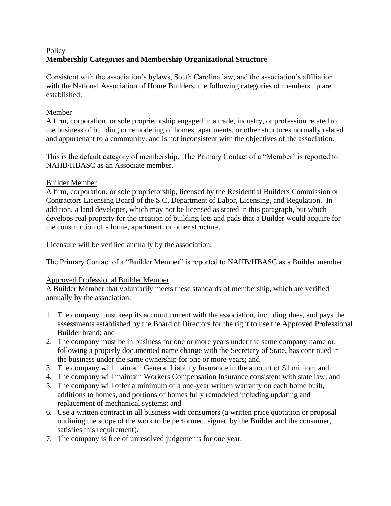# **Policy Membership Categories and Membership Organizational Structure**

Consistent with the association's bylaws, South Carolina law, and the association's affiliation with the National Association of Home Builders, the following categories of membership are established:

### Member

A firm, corporation, or sole proprietorship engaged in a trade, industry, or profession related to the business of building or remodeling of homes, apartments, or other structures normally related and appurtenant to a community, and is not inconsistent with the objectives of the association.

This is the default category of membership. The Primary Contact of a "Member" is reported to NAHB/HBASC as an Associate member.

# Builder Member

A firm, corporation, or sole proprietorship, licensed by the Residential Builders Commission or Contractors Licensing Board of the S.C. Department of Labor, Licensing, and Regulation. In addition, a land developer, which may not be licensed as stated in this paragraph, but which develops real property for the creation of building lots and pads that a Builder would acquire for the construction of a home, apartment, or other structure.

Licensure will be verified annually by the association.

The Primary Contact of a "Builder Member" is reported to NAHB/HBASC as a Builder member.

# Approved Professional Builder Member

A Builder Member that voluntarily meets these standards of membership, which are verified annually by the association:

- 1. The company must keep its account current with the association, including dues, and pays the assessments established by the Board of Directors for the right to use the Approved Professional Builder brand; and
- 2. The company must be in business for one or more years under the same company name or, following a properly documented name change with the Secretary of State, has continued in the business under the same ownership for one or more years; and
- 3. The company will maintain General Liability Insurance in the amount of \$1 million; and
- 4. The company will maintain Workers Compensation Insurance consistent with state law; and
- 5. The company will offer a minimum of a one-year written warranty on each home built, additions to homes, and portions of homes fully remodeled including updating and replacement of mechanical systems; and
- 6. Use a written contract in all business with consumers (a written price quotation or proposal outlining the scope of the work to be performed, signed by the Builder and the consumer, satisfies this requirement).
- 7. The company is free of unresolved judgements for one year.